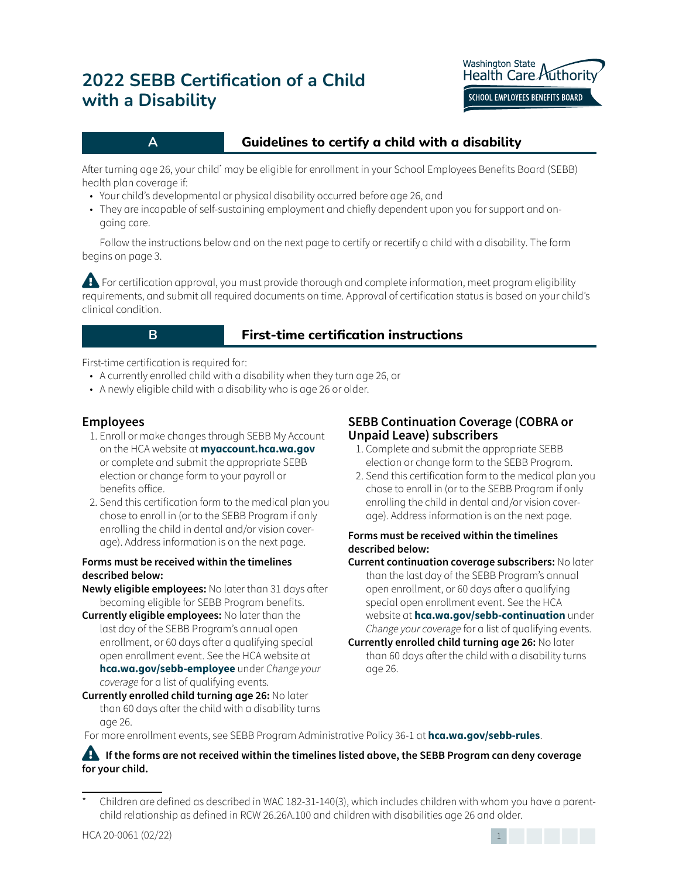

# **A A Guidelines to certify a child with a disability**

After turning age 26, your child' may be eligible for enrollment in your School Employees Benefits Board (SEBB) health plan coverage if:

- Your child's developmental or physical disability occurred before age 26, and
- They are incapable of self-sustaining employment and chiefly dependent upon you for support and ongoing care.

Follow the instructions below and on the next page to certify or recertify a child with a disability. The form begins on page 3.

**Example For certification approval, you must provide thorough and complete information, meet program eligibility** requirements, and submit all required documents on time. Approval of certification status is based on your child's clinical condition.

### **B B Eirst-time** certification instructions

First-time certification is required for:

- A currently enrolled child with a disability when they turn age 26, or
- A newly eligible child with a disability who is age 26 or older.

# **Employees**

- 1. Enroll or make changes through SEBB My Account on the HCA website at **myaccount.hca.wa.gov** or complete and submit the appropriate SEBB election or change form to your payroll or benefits office.
- 2. Send this certification form to the medical plan you chose to enroll in (or to the SEBB Program if only enrolling the child in dental and/or vision coverage). Address information is on the next page.

#### **Forms must be received within the timelines described below:**

**Newly eligible employees:** No later than 31 days after becoming eligible for SEBB Program benefits.

**Currently eligible employees:** No later than the last day of the SEBB Program's annual open enrollment, or 60 days after a qualifying special open enrollment event. See the HCA website at **hca.wa.gov/sebb-employee** under *Change your coverage* for a list of qualifying events.

#### **Currently enrolled child turning age 26:** No later than 60 days after the child with a disability turns age 26.

# **SEBB Continuation Coverage (COBRA or Unpaid Leave) subscribers**

- 1. Complete and submit the appropriate SEBB election or change form to the SEBB Program.
- 2. Send this certification form to the medical plan you chose to enroll in (or to the SEBB Program if only enrolling the child in dental and/or vision coverage). Address information is on the next page.

#### **Forms must be received within the timelines described below:**

**Current continuation coverage subscribers:** No later than the last day of the SEBB Program's annual open enrollment, or 60 days after a qualifying special open enrollment event. See the HCA website at **hca.wa.gov/sebb-continuation** under *Change your coverage* for a list of qualifying events.

For more enrollment events, see SEBB Program Administrative Policy 36-1 at **hca.wa.gov/sebb-rules**.

#### **A** If the forms are not received within the timelines listed above, the SEBB Program can deny coverage **for your child.**



**Currently enrolled child turning age 26:** No later than 60 days after the child with a disability turns age 26.

Children are defined as described in WAC 182-31-140(3), which includes children with whom you have a parentchild relationship as defined in RCW 26.26A.100 and children with disabilities age 26 and older.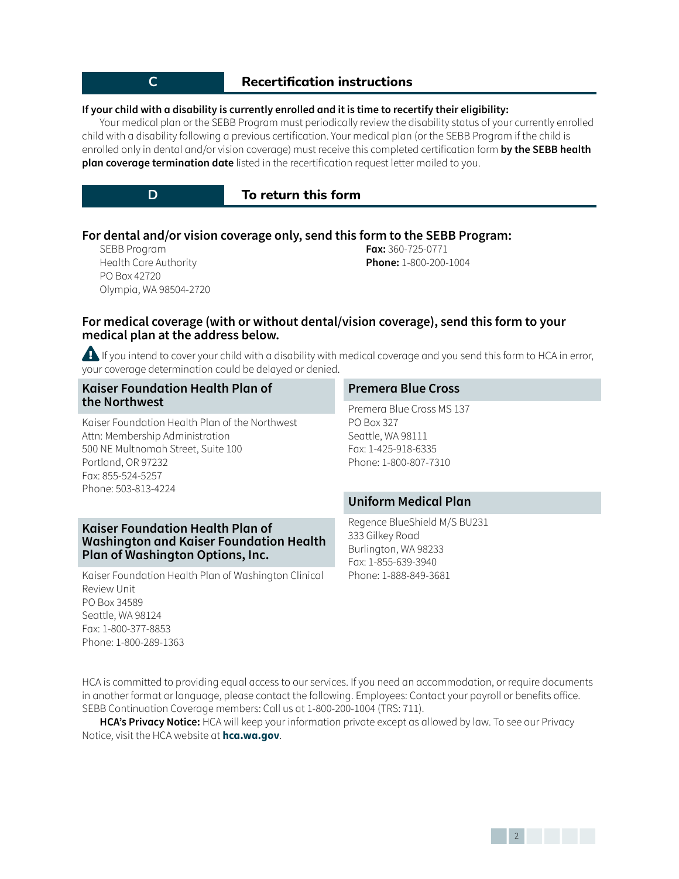# **C Recertification instructions**

#### **If your child with a disability is currently enrolled and it is time to recertify their eligibility:**

Your medical plan or the SEBB Program must periodically review the disability status of your currently enrolled child with a disability following a previous certification. Your medical plan (or the SEBB Program if the child is enrolled only in dental and/or vision coverage) must receive this completed certification form **by the SEBB health plan coverage termination date** listed in the recertification request letter mailed to you.

**D D To** return this form

#### **For dental and/or vision coverage only, send this form to the SEBB Program:**

SEBB Program Health Care Authority PO Box 42720 Olympia, WA 98504-2720 **Fax:** 360-725-0771 **Phone:** 1-800-200-1004

#### **For medical coverage (with or without dental/vision coverage), send this form to your medical plan at the address below.**

**Example If you intend to cover your child with a disability with medical coverage and you send this form to HCA in error,** your coverage determination could be delayed or denied.

| <b>Kaiser Foundation Health Plan of</b>                                                                                                  | <b>Premera Blue Cross</b>                                                                                           |  |  |  |
|------------------------------------------------------------------------------------------------------------------------------------------|---------------------------------------------------------------------------------------------------------------------|--|--|--|
| the Northwest<br>Kaiser Foundation Health Plan of the Northwest<br>Attn: Membership Administration<br>500 NE Multnomah Street, Suite 100 | Premera Blue Cross MS 137<br><b>PO Box 327</b><br>Seattle, WA 98111<br>Fax: 1-425-918-6335<br>Phone: 1-800-807-7310 |  |  |  |
| Portland, OR 97232<br>Fax: 855-524-5257<br>Phone: 503-813-4224                                                                           |                                                                                                                     |  |  |  |
|                                                                                                                                          | <b>Uniform Medical Plan</b>                                                                                         |  |  |  |
| <b>Kaiser Foundation Health Plan of</b><br>Washington and Kaiser Foundation Health<br><b>Plan of Washington Options, Inc.</b>            | Regence BlueShield M/S BU231<br>333 Gilkey Road<br>Burlington, WA 98233<br>Fax: 1-855-639-3940                      |  |  |  |

Phone: 1-888-849-3681

Kaiser Foundation Health Plan of Washington Clinical Review Unit PO Box 34589 Seattle, WA 98124 Fax: 1-800-377-8853 Phone: 1-800-289-1363

HCA is committed to providing equal access to our services. If you need an accommodation, or require documents in another format or language, please contact the following. Employees: Contact your payroll or benefits office. SEBB Continuation Coverage members: Call us at 1-800-200-1004 (TRS: 711).

**HCA's Privacy Notice:** HCA will keep your information private except as allowed by law. To see our Privacy Notice, visit the HCA website at **hca.wa.gov**.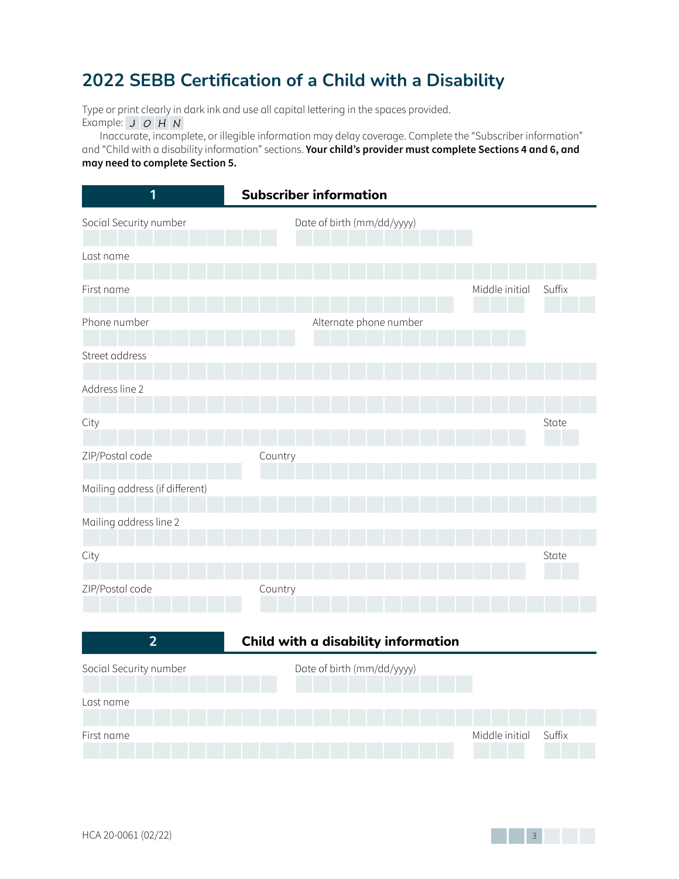Type or print clearly in dark ink and use all capital lettering in the spaces provided. Example:  $J$   $O$   $H$   $N$ 

Inaccurate, incomplete, or illegible information may delay coverage. Complete the "Subscriber information" and "Child with a disability information" sections. **Your child's provider must complete Sections 4 and 6, and may need to complete Section 5.**

| $\overline{\mathbf{1}}$        | <b>Subscriber information</b> |        |
|--------------------------------|-------------------------------|--------|
| Social Security number         | Date of birth (mm/dd/yyyy)    |        |
| Last name                      |                               |        |
|                                |                               |        |
| First name                     | Middle initial                | Suffix |
| Phone number                   | Alternate phone number        |        |
| Street address                 |                               |        |
| Address line 2                 |                               |        |
| City                           |                               | State  |
| ZIP/Postal code                | Country                       |        |
| Mailing address (if different) |                               |        |
| Mailing address line 2         |                               |        |
| City                           |                               | State  |
|                                |                               |        |
| ZIP/Postal code                | Country                       |        |

|                        | Child with a disability information |                |        |  |  |
|------------------------|-------------------------------------|----------------|--------|--|--|
| Social Security number | Date of birth (mm/dd/yyyy)          |                |        |  |  |
| Last name              |                                     |                |        |  |  |
| First name             |                                     | Middle initial | Suffix |  |  |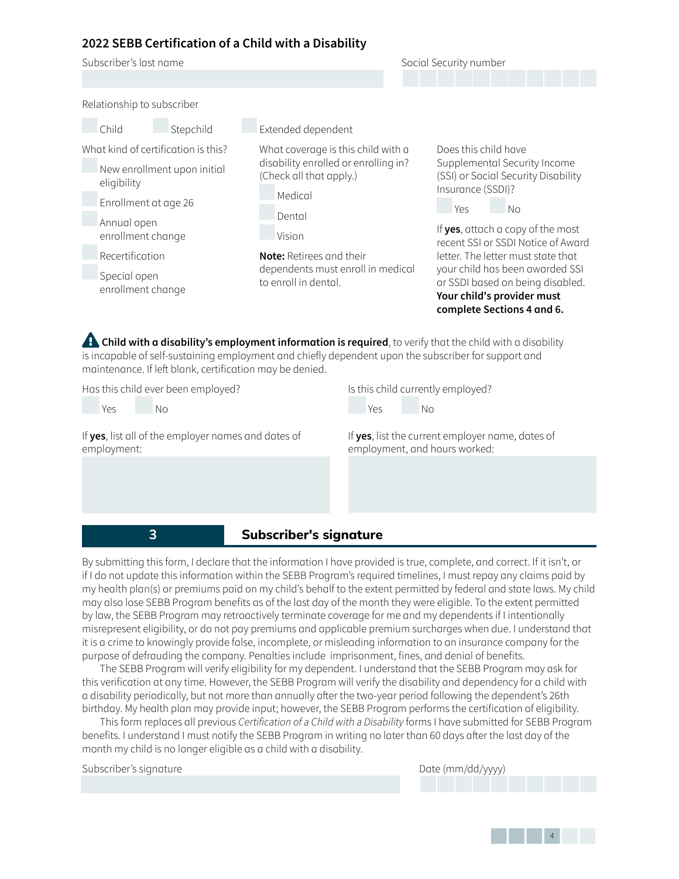

 **3 Subscriber's signature**

By submitting this form, I declare that the information I have provided is true, complete, and correct. If it isn't, or if I do not update this information within the SEBB Program's required timelines, I must repay any claims paid by my health plan(s) or premiums paid on my child's behalf to the extent permitted by federal and state laws. My child may also lose SEBB Program benefits as of the last day of the month they were eligible. To the extent permitted by law, the SEBB Program may retroactively terminate coverage for me and my dependents if I intentionally misrepresent eligibility, or do not pay premiums and applicable premium surcharges when due. I understand that it is a crime to knowingly provide false, incomplete, or misleading information to an insurance company for the purpose of defrauding the company. Penalties include imprisonment, fines, and denial of benefits.

The SEBB Program will verify eligibility for my dependent. I understand that the SEBB Program may ask for this verification at any time. However, the SEBB Program will verify the disability and dependency for a child with a disability periodically, but not more than annually after the two-year period following the dependent's 26th birthday. My health plan may provide input; however, the SEBB Program performs the certification of eligibility.

This form replaces all previous *Certification of a Child with a Disability* forms I have submitted for SEBB Program benefits. I understand I must notify the SEBB Program in writing no later than 60 days after the last day of the month my child is no longer eligible as a child with a disability.

| Subscriber's signature |  |
|------------------------|--|
|                        |  |

Date (mm/dd/yyyy)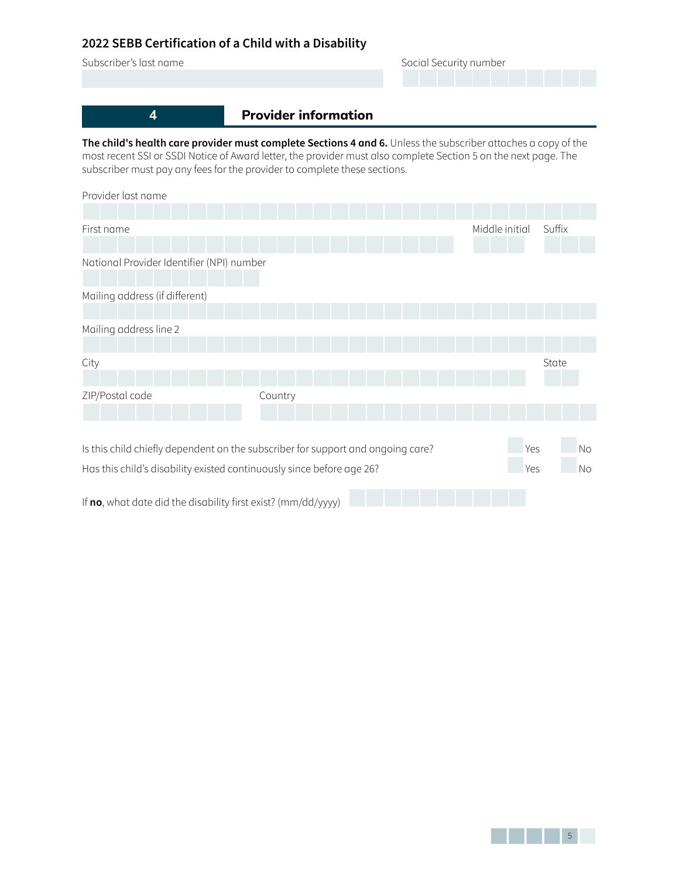| Subscriber's last name                                                                                                                                                                                                           | Social Security number      |  |  |  |
|----------------------------------------------------------------------------------------------------------------------------------------------------------------------------------------------------------------------------------|-----------------------------|--|--|--|
|                                                                                                                                                                                                                                  |                             |  |  |  |
|                                                                                                                                                                                                                                  |                             |  |  |  |
|                                                                                                                                                                                                                                  | <b>Provider information</b> |  |  |  |
| The child's health care provider must complete Sections 4 and 6. Unless the subscriber attaches a copy of the<br>most recent SSI or SSDI Notice of Award letter, the provider must also complete Section 5 on the next page. The |                             |  |  |  |

most recent SSI or SSDI Notice of Award letter, the provider must also complete Section 5 on the next page. The subscriber must pay any fees for the provider to complete these sections.

| Provider last name                                                              |         |  |                |        |           |
|---------------------------------------------------------------------------------|---------|--|----------------|--------|-----------|
|                                                                                 |         |  |                |        |           |
| First name                                                                      |         |  | Middle initial | Suffix |           |
|                                                                                 |         |  |                |        |           |
| National Provider Identifier (NPI) number                                       |         |  |                |        |           |
| Mailing address (if different)                                                  |         |  |                |        |           |
| Mailing address line 2                                                          |         |  |                |        |           |
| City                                                                            |         |  |                | State  |           |
| ZIP/Postal code                                                                 | Country |  |                |        |           |
| Is this child chiefly dependent on the subscriber for support and ongoing care? |         |  | Yes            |        | No        |
| Has this child's disability existed continuously since before age 26?           |         |  | <b>Yes</b>     |        | <b>No</b> |

If **no**, what date did the disability first exist? (mm/dd/yyyy)